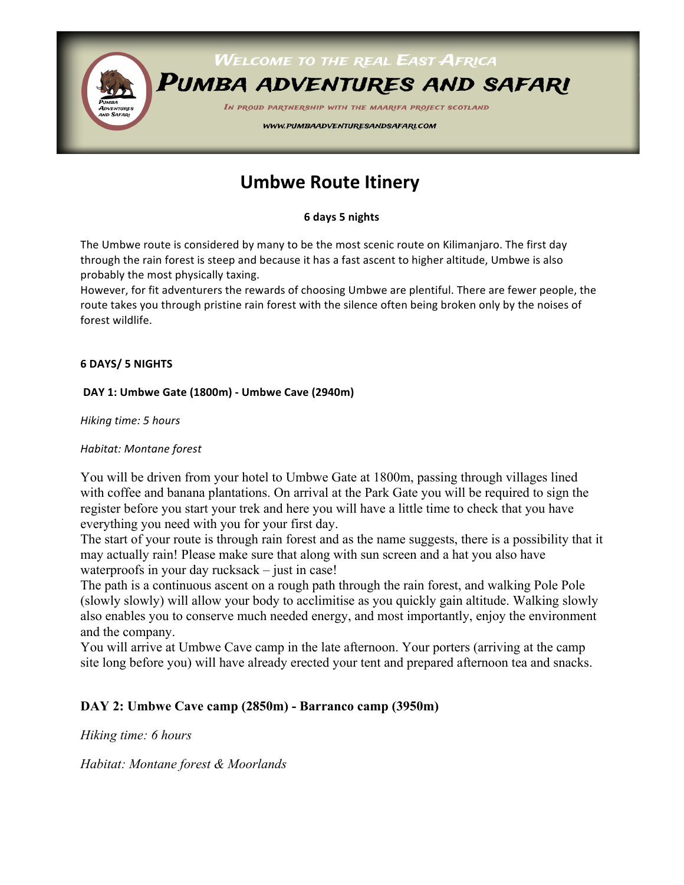

# **Umbwe Route Itinery**

**6 days 5 nights**

The Umbwe route is considered by many to be the most scenic route on Kilimanjaro. The first day through the rain forest is steep and because it has a fast ascent to higher altitude, Umbwe is also probably the most physically taxing.

However, for fit adventurers the rewards of choosing Umbwe are plentiful. There are fewer people, the route takes you through pristine rain forest with the silence often being broken only by the noises of forest wildlife.

#### **6 DAYS/ 5 NIGHTS**

#### **DAY 1: Umbwe Gate (1800m) - Umbwe Cave (2940m)**

*Hiking time:* 5 hours

#### *Habitat: Montane forest*

You will be driven from your hotel to Umbwe Gate at 1800m, passing through villages lined with coffee and banana plantations. On arrival at the Park Gate you will be required to sign the register before you start your trek and here you will have a little time to check that you have everything you need with you for your first day.

The start of your route is through rain forest and as the name suggests, there is a possibility that it may actually rain! Please make sure that along with sun screen and a hat you also have waterproofs in your day rucksack – just in case!

The path is a continuous ascent on a rough path through the rain forest, and walking Pole Pole (slowly slowly) will allow your body to acclimitise as you quickly gain altitude. Walking slowly also enables you to conserve much needed energy, and most importantly, enjoy the environment and the company.

You will arrive at Umbwe Cave camp in the late afternoon. Your porters (arriving at the camp site long before you) will have already erected your tent and prepared afternoon tea and snacks.

### **DAY 2: Umbwe Cave camp (2850m) - Barranco camp (3950m)**

*Hiking time: 6 hours* 

*Habitat: Montane forest & Moorlands*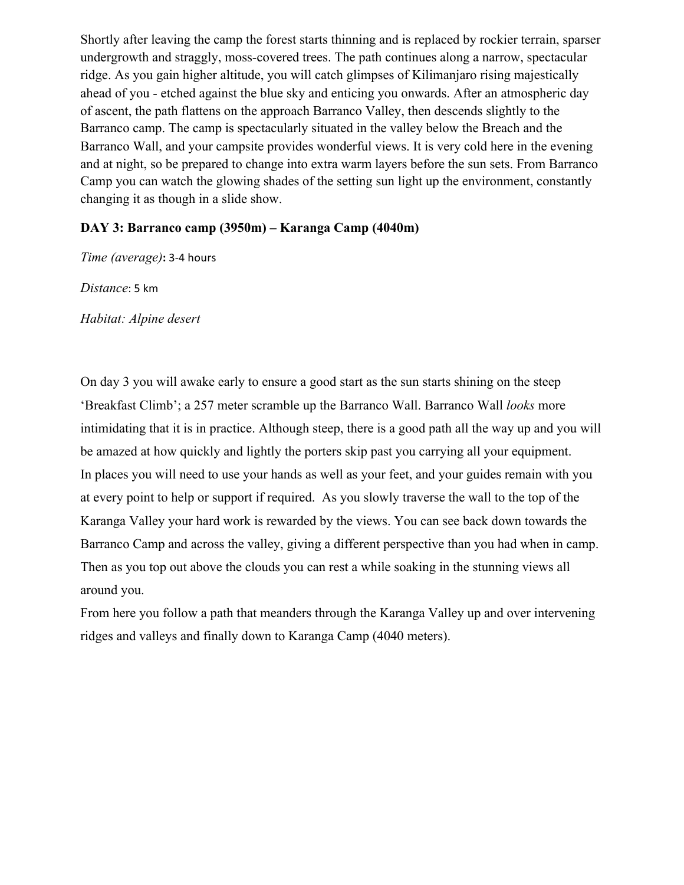Shortly after leaving the camp the forest starts thinning and is replaced by rockier terrain, sparser undergrowth and straggly, moss-covered trees. The path continues along a narrow, spectacular ridge. As you gain higher altitude, you will catch glimpses of Kilimanjaro rising majestically ahead of you - etched against the blue sky and enticing you onwards. After an atmospheric day of ascent, the path flattens on the approach Barranco Valley, then descends slightly to the Barranco camp. The camp is spectacularly situated in the valley below the Breach and the Barranco Wall, and your campsite provides wonderful views. It is very cold here in the evening and at night, so be prepared to change into extra warm layers before the sun sets. From Barranco Camp you can watch the glowing shades of the setting sun light up the environment, constantly changing it as though in a slide show.

#### **DAY 3: Barranco camp (3950m) – Karanga Camp (4040m)**

*Time (average)*: 3-4 hours

Distance: 5 km

*Habitat: Alpine desert*

On day 3 you will awake early to ensure a good start as the sun starts shining on the steep 'Breakfast Climb'; a 257 meter scramble up the Barranco Wall. Barranco Wall *looks* more intimidating that it is in practice. Although steep, there is a good path all the way up and you will be amazed at how quickly and lightly the porters skip past you carrying all your equipment. In places you will need to use your hands as well as your feet, and your guides remain with you at every point to help or support if required. As you slowly traverse the wall to the top of the Karanga Valley your hard work is rewarded by the views. You can see back down towards the Barranco Camp and across the valley, giving a different perspective than you had when in camp. Then as you top out above the clouds you can rest a while soaking in the stunning views all around you.

From here you follow a path that meanders through the Karanga Valley up and over intervening ridges and valleys and finally down to Karanga Camp (4040 meters).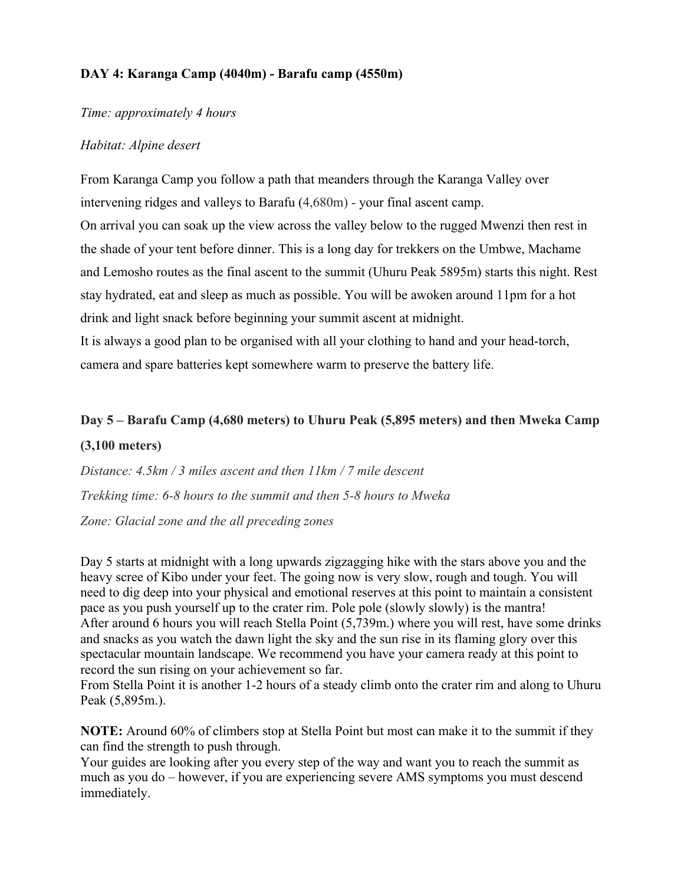### **DAY 4: Karanga Camp (4040m) - Barafu camp (4550m)**

#### *Time: approximately 4 hours*

### *Habitat: Alpine desert*

From Karanga Camp you follow a path that meanders through the Karanga Valley over intervening ridges and valleys to Barafu (4,680m) - your final ascent camp. On arrival you can soak up the view across the valley below to the rugged Mwenzi then rest in the shade of your tent before dinner. This is a long day for trekkers on the Umbwe, Machame and Lemosho routes as the final ascent to the summit (Uhuru Peak 5895m) starts this night. Rest stay hydrated, eat and sleep as much as possible. You will be awoken around 11pm for a hot drink and light snack before beginning your summit ascent at midnight. It is always a good plan to be organised with all your clothing to hand and your head-torch, camera and spare batteries kept somewhere warm to preserve the battery life.

## **Day 5 – Barafu Camp (4,680 meters) to Uhuru Peak (5,895 meters) and then Mweka Camp (3,100 meters)**

*Distance: 4.5km / 3 miles ascent and then 11km / 7 mile descent Trekking time: 6-8 hours to the summit and then 5-8 hours to Mweka Zone: Glacial zone and the all preceding zones*

Day 5 starts at midnight with a long upwards zigzagging hike with the stars above you and the heavy scree of Kibo under your feet. The going now is very slow, rough and tough. You will need to dig deep into your physical and emotional reserves at this point to maintain a consistent pace as you push yourself up to the crater rim. Pole pole (slowly slowly) is the mantra! After around 6 hours you will reach Stella Point (5,739m.) where you will rest, have some drinks and snacks as you watch the dawn light the sky and the sun rise in its flaming glory over this spectacular mountain landscape. We recommend you have your camera ready at this point to record the sun rising on your achievement so far.

From Stella Point it is another 1-2 hours of a steady climb onto the crater rim and along to Uhuru Peak (5,895m.).

**NOTE:** Around 60% of climbers stop at Stella Point but most can make it to the summit if they can find the strength to push through.

Your guides are looking after you every step of the way and want you to reach the summit as much as you do – however, if you are experiencing severe AMS symptoms you must descend immediately.